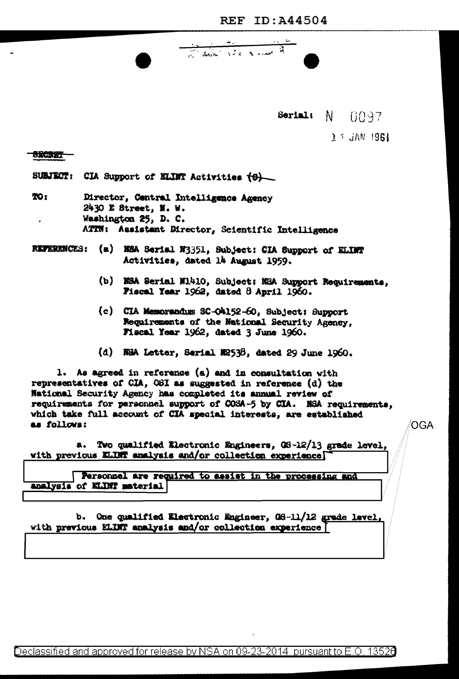<u>and the state of the state of the state of the state of the state of the state of the state of the state of the state of the state of the state of the state of the state of the state of the state of the state of the state</u>

Serial: N 0097

 $\lambda$  i JAN 1961

## **SRCRET**

SUBJECT: CIA Support of ELINT Activities (6)

- TO: Director, Central Intelligence Agency 2430 E Street, N. W. Washington 25, D. C. ATTN: Assistant Director, Scientific Intelligence
- REFERENCES: (a) NEA Serial N3351, Subject: CIA Support of ELINT Activities, dated là August 1959.
	- (b) NSA Serial N1410, Subject: NSA Support Requirements, Fiscal Year 1962, dated 8 April 1960.
	- (c) CIA Memorandum SC-O4152-60, Subject: Support Requirements of the National Security Agency, Fiscal Year 1962, dated 3 June 1960.
	- (d) NHA Letter, Serial N2538, dated 29 June 1960.

1. As agreed in reference (a) and in consultation with representatives of CIA, OSI as suggested in reference (d) the National Security Agency has completed its annual review of requirements for personnel support of COSA-5 by CIA. NSA requirements, which take full account of CIA special interests, are established as follows:

a. Two qualified Electronic Engineers, OS-12/13 grade level, with previous ELINT analysis and/or collection experience

Personnel are required to assist in the processing and analysis of KLINT material

b. One qualified Electronic Engineer, 08-11/12 grade level, with previous ELINT analysis and/or collection experience

OGA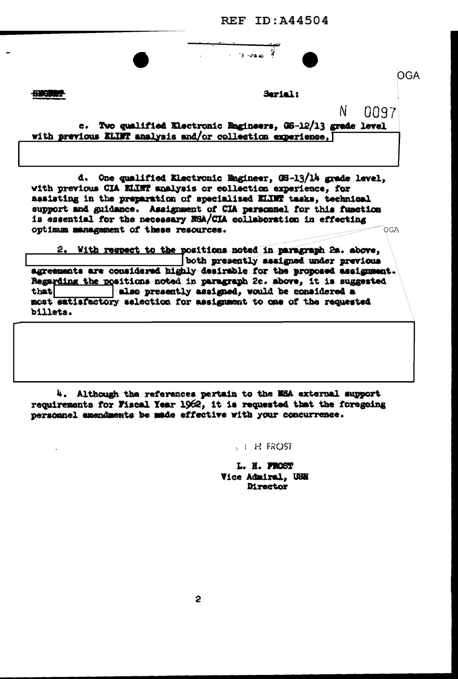**REF ID: A44504** 

 $\mathcal{L}$ 

 $\sim$  13 -44  $\mu$ 

**SECTOR** 

Serial:

N

0097

c. Two qualified Electronic Engineers, 06-12/13 grade level with previous ELINT analysis and/or collection experience, [

d. One qualified Electronic Engineer, 08-13/14 grade level, with previous CIA KLINT analysis or collection experience, for assisting in the preparation of specialized ELIMT tasks, technical support and guidance. Assignment of CIA personnel for this function is essential for the necessary NSA/CIA collaboration in effecting optimum management of these resources. OGA

2. With respect to the positions noted in paragraph 2a. above, both presently assigned under previous agreements are considered highly desirable for the proposed assignment. Regarding the positions noted in paragraph 2c. above, it is suggested also presently assigned, would be considered a that most satisfactory selection for assignment to one of the requested billets.

4. Although the references pertain to the NSA external support requirements for Fiscal Year 1962, it is requested that the foregoing personnel amendments be made effective with your concurrence.

 $5 + H$  FROST

L. H. PROST Vice Admiral, USN Director

OGA